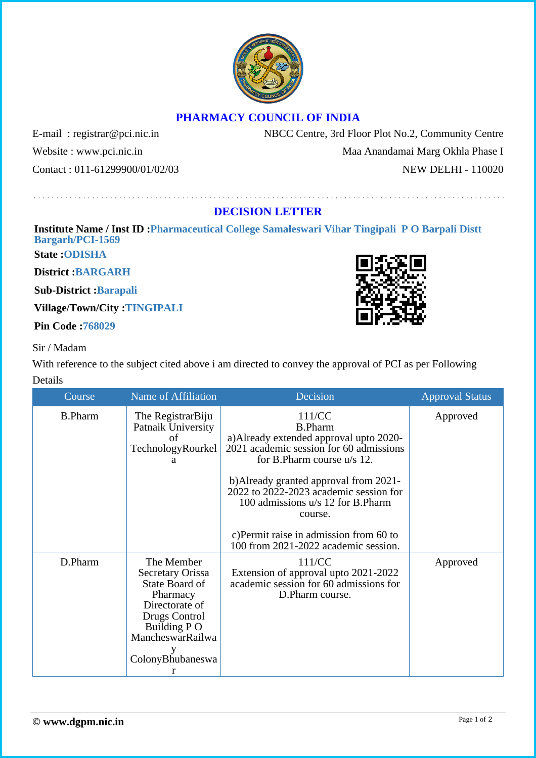



## **PHARMACY COUNCIL OF INDIA**

Contact : 011-61299900/01/02/03 NEW DELHI - 110020

E-mail: registrar@pci.nic.in NBCC Centre, 3rd Floor Plot No.2, Community Centre Website : www.pci.nic.in Maa Anandamai Marg Okhla Phase I

## **DECISION LETTER**

## **Institute Name / Inst ID :Pharmaceutical College Samaleswari Vihar Tingipali P O Barpali Distt Bargarh/PCI-1569**

**State :ODISHA**

**District :BARGARH**

**Sub-District :Barapali**

**Village/Town/City :TINGIPALI**

**Pin Code :768029**

## Sir / Madam

With reference to the subject cited above i am directed to convey the approval of PCI as per Following Details

| Course         | Name of Affiliation                                                                                                                                            | Decision                                                                                                                                                                                                                                                                                                                                                            | <b>Approval Status</b> |
|----------------|----------------------------------------------------------------------------------------------------------------------------------------------------------------|---------------------------------------------------------------------------------------------------------------------------------------------------------------------------------------------------------------------------------------------------------------------------------------------------------------------------------------------------------------------|------------------------|
| <b>B.Pharm</b> | The RegistrarBiju<br>Patnaik University<br>οf<br>TechnologyRourkel<br>a                                                                                        | 111/CC<br><b>B.Pharm</b><br>a) Already extended approval upto 2020-<br>2021 academic session for 60 admissions<br>for B.Pharm course u/s 12.<br>b) Already granted approval from 2021-<br>2022 to 2022-2023 academic session for<br>100 admissions u/s 12 for B.Pharm<br>course.<br>c) Permit raise in admission from 60 to<br>100 from 2021-2022 academic session. | Approved               |
| D.Pharm        | The Member<br><b>Secretary Orissa</b><br>State Board of<br>Pharmacy<br>Directorate of<br>Drugs Control<br>Building P O<br>MancheswarRailwa<br>ColonyBhubaneswa | 111/CC<br>Extension of approval upto 2021-2022<br>academic session for 60 admissions for<br>D.Pharm course.                                                                                                                                                                                                                                                         | Approved               |